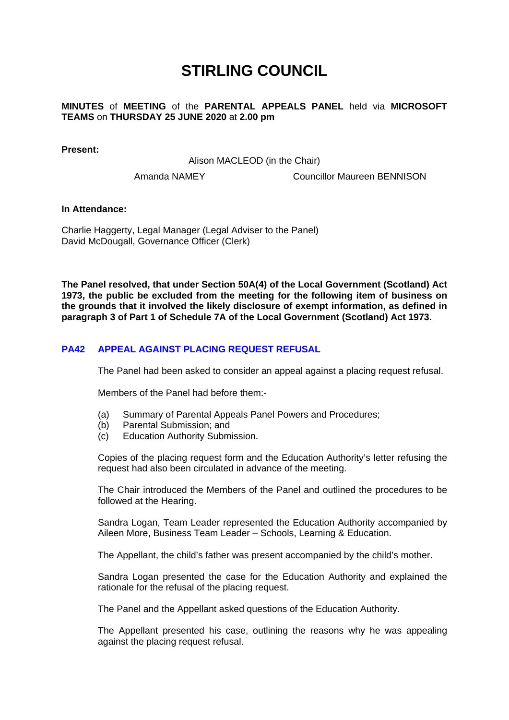# **STIRLING COUNCIL**

## **MINUTES** of **MEETING** of the **PARENTAL APPEALS PANEL** held via **MICROSOFT TEAMS** on **THURSDAY 25 JUNE 2020** at **2.00 pm**

**Present:** 

Alison MACLEOD (in the Chair)

Amanda NAMEY Councillor Maureen BENNISON

#### **In Attendance:**

Charlie Haggerty, Legal Manager (Legal Adviser to the Panel) David McDougall, Governance Officer (Clerk)

**The Panel resolved, that under Section 50A(4) of the Local Government (Scotland) Act 1973, the public be excluded from the meeting for the following item of business on the grounds that it involved the likely disclosure of exempt information, as defined in paragraph 3 of Part 1 of Schedule 7A of the Local Government (Scotland) Act 1973.** 

## **PA42 [APPEAL AGAINST PLACING REQUEST REFUSAL](/forms/request.htm)**

The Panel had been asked to consider an appeal against a placing request refusal.

Members of the Panel had before them:-

- (a) Summary of Parental Appeals Panel Powers and Procedures;
- (b) Parental Submission; and
- (c) Education Authority Submission.

Copies of the placing request form and the Education Authority's letter refusing the request had also been circulated in advance of the meeting.

The Chair introduced the Members of the Panel and outlined the procedures to be followed at the Hearing.

Sandra Logan, Team Leader represented the Education Authority accompanied by Aileen More, Business Team Leader – Schools, Learning & Education.

The Appellant, the child's father was present accompanied by the child's mother.

Sandra Logan presented the case for the Education Authority and explained the rationale for the refusal of the placing request.

The Panel and the Appellant asked questions of the Education Authority.

The Appellant presented his case, outlining the reasons why he was appealing against the placing request refusal.